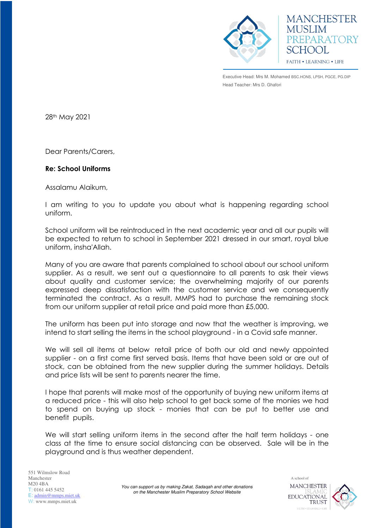

**MANCHESTER MUSLIM** PREPARATORY SCHOOL **FAITH • LEARNING • LIFE** 

Executive Head: Mrs M. Mohamed BSC.HONS, LPSH, PGCE, PG.DIP Head Teacher: Mrs D. Ghafori

28th May 2021

Dear Parents/Carers,

## **Re: School Uniforms**

Assalamu Alaikum,

I am writing to you to update you about what is happening regarding school uniform.

School uniform will be reintroduced in the next academic year and all our pupils will be expected to return to school in September 2021 dressed in our smart, royal blue uniform, insha'Allah.

Many of you are aware that parents complained to school about our school uniform supplier. As a result, we sent out a questionnaire to all parents to ask their views about quality and customer service; the overwhelming majority of our parents expressed deep dissatisfaction with the customer service and we consequently terminated the contract. As a result, MMPS had to purchase the remaining stock from our uniform supplier at retail price and paid more than £5,000.

The uniform has been put into storage and now that the weather is improving, we intend to start selling the items in the school playground - in a Covid safe manner.

We will sell all items at below retail price of both our old and newly appointed supplier - on a first come first served basis. Items that have been sold or are out of stock, can be obtained from the new supplier during the summer holidays. Details and price lists will be sent to parents nearer the time.

I hope that parents will make most of the opportunity of buying new uniform items at a reduced price - this will also help school to get back some of the monies we had to spend on buying up stock - monies that can be put to better use and benefit pupils.

We will start selling uniform items in the second after the half term holidays - one class at the time to ensure social distancing can be observed. Sale will be in the playground and is thus weather dependent.